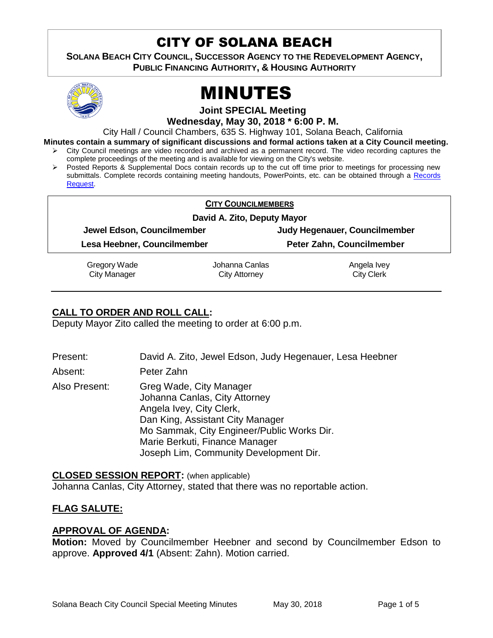# CITY OF SOLANA BEACH

**SOLANA BEACH CITY COUNCIL, SUCCESSOR AGENCY TO THE REDEVELOPMENT AGENCY, PUBLIC FINANCING AUTHORITY, & HOUSING AUTHORITY** 



# MINUTES

**Joint SPECIAL Meeting**

**Wednesday, May 30, 2018 \* 6:00 P. M.**

City Hall / Council Chambers, 635 S. Highway 101, Solana Beach, California

**Minutes contain a summary of significant discussions and formal actions taken at a City Council meeting.**

- $\triangleright$  City Council meetings are video recorded and archived as a permanent record. The video recording captures the complete proceedings of the meeting and is available for viewing on the City's website.
- Posted Reports & Supplemental Docs contain records up to the cut off time prior to meetings for processing new submittals. Complete records containing meeting handouts, PowerPoints, etc. can be obtained through a [Records](http://www.ci.solana-beach.ca.us/index.asp?SEC=F5D45D10-70CE-4291-A27C-7BD633FC6742&Type=B_BASIC)  [Request.](http://www.ci.solana-beach.ca.us/index.asp?SEC=F5D45D10-70CE-4291-A27C-7BD633FC6742&Type=B_BASIC)

|                             | <b>CITY COUNCILMEMBERS</b>  |                               |
|-----------------------------|-----------------------------|-------------------------------|
|                             | David A. Zito, Deputy Mayor |                               |
| Jewel Edson, Councilmember  |                             | Judy Hegenauer, Councilmember |
| Lesa Heebner, Councilmember |                             | Peter Zahn, Councilmember     |
| Gregory Wade                | Johanna Canlas              | Angela Ivey                   |
| <b>City Manager</b>         | City Attorney               | <b>City Clerk</b>             |

# **CALL TO ORDER AND ROLL CALL:**

Deputy Mayor Zito called the meeting to order at 6:00 p.m.

| Present:      | David A. Zito, Jewel Edson, Judy Hegenauer, Lesa Heebner                                                                                                                                                                                           |
|---------------|----------------------------------------------------------------------------------------------------------------------------------------------------------------------------------------------------------------------------------------------------|
| Absent:       | Peter Zahn                                                                                                                                                                                                                                         |
| Also Present: | Greg Wade, City Manager<br>Johanna Canlas, City Attorney<br>Angela Ivey, City Clerk,<br>Dan King, Assistant City Manager<br>Mo Sammak, City Engineer/Public Works Dir.<br>Marie Berkuti, Finance Manager<br>Joseph Lim, Community Development Dir. |

**CLOSED SESSION REPORT:** (when applicable) Johanna Canlas, City Attorney, stated that there was no reportable action.

# **FLAG SALUTE:**

#### **APPROVAL OF AGENDA:**

**Motion:** Moved by Councilmember Heebner and second by Councilmember Edson to approve. **Approved 4/1** (Absent: Zahn). Motion carried.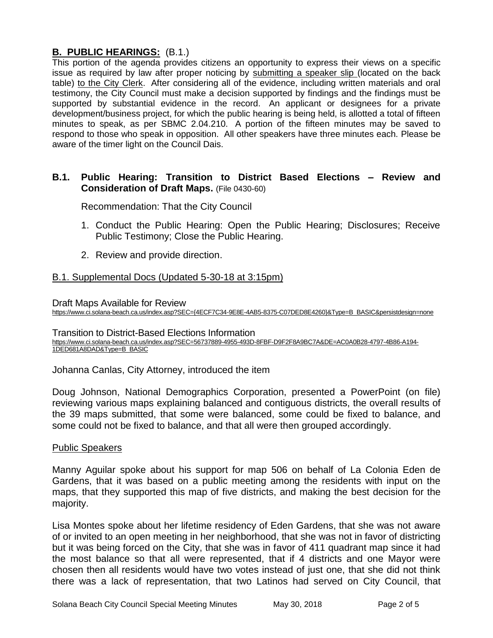# **B. PUBLIC HEARINGS:** (B.1.)

This portion of the agenda provides citizens an opportunity to express their views on a specific issue as required by law after proper noticing by submitting a speaker slip (located on the back table) to the City Clerk. After considering all of the evidence, including written materials and oral testimony, the City Council must make a decision supported by findings and the findings must be supported by substantial evidence in the record. An applicant or designees for a private development/business project, for which the public hearing is being held, is allotted a total of fifteen minutes to speak, as per SBMC 2.04.210. A portion of the fifteen minutes may be saved to respond to those who speak in opposition. All other speakers have three minutes each. Please be aware of the timer light on the Council Dais.

#### **B.1. Public Hearing: Transition to District Based Elections – Review and Consideration of Draft Maps.** (File 0430-60)

Recommendation: That the City Council

- 1. Conduct the Public Hearing: Open the Public Hearing; Disclosures; Receive Public Testimony; Close the Public Hearing.
- 2. Review and provide direction.

# [B.1. Supplemental Docs \(Updated 5-30-18](https://solanabeach.govoffice3.com/vertical/Sites/%7B840804C2-F869-4904-9AE3-720581350CE7%7D/uploads/B.1._Supplemental_Docs_(5-30-18_at_315pm).pdf) at 3:15pm)

Draft Maps Available for Review

[https://www.ci.solana-beach.ca.us/index.asp?SEC={4ECF7C34-9E8E-4AB5-8375-C07DED8E4260}&Type=B\\_BASIC&persistdesign=none](https://www.ci.solana-beach.ca.us/index.asp?SEC=%7b4ECF7C34-9E8E-4AB5-8375-C07DED8E4260%7d&Type=B_BASIC&persistdesign=none)

Transition to District-Based Elections Information [https://www.ci.solana-beach.ca.us/index.asp?SEC=56737889-4955-493D-8FBF-D9F2F8A9BC7A&DE=AC0A0B28-4797-4B86-A194-](https://www.ci.solana-beach.ca.us/index.asp?SEC=56737889-4955-493D-8FBF-D9F2F8A9BC7A&DE=AC0A0B28-4797-4B86-A194-1DED681A8DAD&Type=B_BASIC) [1DED681A8DAD&Type=B\\_BASIC](https://www.ci.solana-beach.ca.us/index.asp?SEC=56737889-4955-493D-8FBF-D9F2F8A9BC7A&DE=AC0A0B28-4797-4B86-A194-1DED681A8DAD&Type=B_BASIC)

Johanna Canlas, City Attorney, introduced the item

Doug Johnson, National Demographics Corporation, presented a PowerPoint (on file) reviewing various maps explaining balanced and contiguous districts, the overall results of the 39 maps submitted, that some were balanced, some could be fixed to balance, and some could not be fixed to balance, and that all were then grouped accordingly.

#### Public Speakers

Manny Aguilar spoke about his support for map 506 on behalf of La Colonia Eden de Gardens, that it was based on a public meeting among the residents with input on the maps, that they supported this map of five districts, and making the best decision for the majority.

Lisa Montes spoke about her lifetime residency of Eden Gardens, that she was not aware of or invited to an open meeting in her neighborhood, that she was not in favor of districting but it was being forced on the City, that she was in favor of 411 quadrant map since it had the most balance so that all were represented, that if 4 districts and one Mayor were chosen then all residents would have two votes instead of just one, that she did not think there was a lack of representation, that two Latinos had served on City Council, that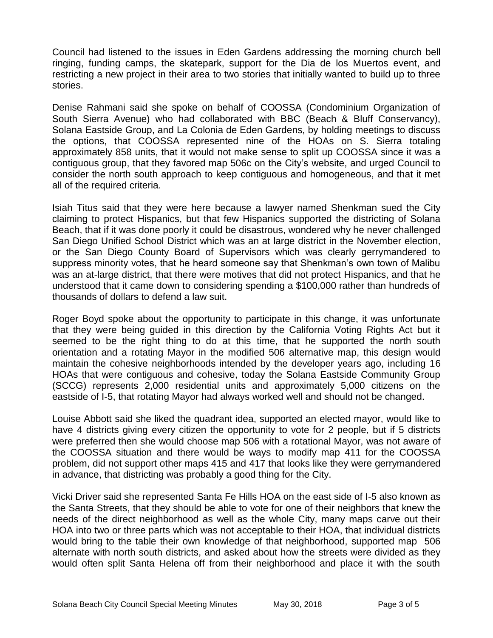Council had listened to the issues in Eden Gardens addressing the morning church bell ringing, funding camps, the skatepark, support for the Dia de los Muertos event, and restricting a new project in their area to two stories that initially wanted to build up to three stories.

Denise Rahmani said she spoke on behalf of COOSSA (Condominium Organization of South Sierra Avenue) who had collaborated with BBC (Beach & Bluff Conservancy), Solana Eastside Group, and La Colonia de Eden Gardens, by holding meetings to discuss the options, that COOSSA represented nine of the HOAs on S. Sierra totaling approximately 858 units, that it would not make sense to split up COOSSA since it was a contiguous group, that they favored map 506c on the City's website, and urged Council to consider the north south approach to keep contiguous and homogeneous, and that it met all of the required criteria.

Isiah Titus said that they were here because a lawyer named Shenkman sued the City claiming to protect Hispanics, but that few Hispanics supported the districting of Solana Beach, that if it was done poorly it could be disastrous, wondered why he never challenged San Diego Unified School District which was an at large district in the November election, or the San Diego County Board of Supervisors which was clearly gerrymandered to suppress minority votes, that he heard someone say that Shenkman's own town of Malibu was an at-large district, that there were motives that did not protect Hispanics, and that he understood that it came down to considering spending a \$100,000 rather than hundreds of thousands of dollars to defend a law suit.

Roger Boyd spoke about the opportunity to participate in this change, it was unfortunate that they were being guided in this direction by the California Voting Rights Act but it seemed to be the right thing to do at this time, that he supported the north south orientation and a rotating Mayor in the modified 506 alternative map, this design would maintain the cohesive neighborhoods intended by the developer years ago, including 16 HOAs that were contiguous and cohesive, today the Solana Eastside Community Group (SCCG) represents 2,000 residential units and approximately 5,000 citizens on the eastside of I-5, that rotating Mayor had always worked well and should not be changed.

Louise Abbott said she liked the quadrant idea, supported an elected mayor, would like to have 4 districts giving every citizen the opportunity to vote for 2 people, but if 5 districts were preferred then she would choose map 506 with a rotational Mayor, was not aware of the COOSSA situation and there would be ways to modify map 411 for the COOSSA problem, did not support other maps 415 and 417 that looks like they were gerrymandered in advance, that districting was probably a good thing for the City.

Vicki Driver said she represented Santa Fe Hills HOA on the east side of I-5 also known as the Santa Streets, that they should be able to vote for one of their neighbors that knew the needs of the direct neighborhood as well as the whole City, many maps carve out their HOA into two or three parts which was not acceptable to their HOA, that individual districts would bring to the table their own knowledge of that neighborhood, supported map 506 alternate with north south districts, and asked about how the streets were divided as they would often split Santa Helena off from their neighborhood and place it with the south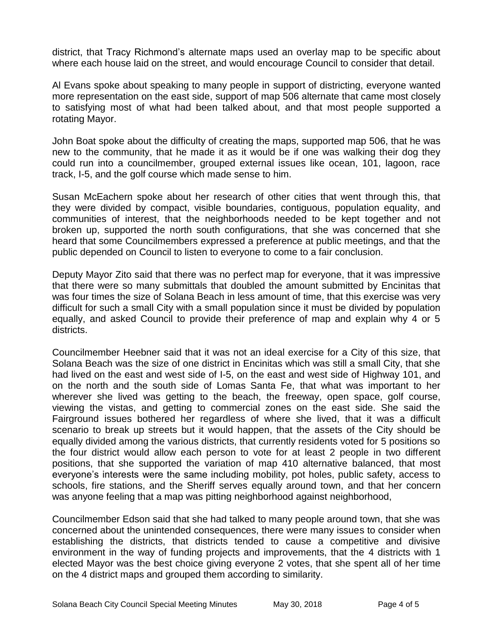district, that Tracy Richmond's alternate maps used an overlay map to be specific about where each house laid on the street, and would encourage Council to consider that detail.

Al Evans spoke about speaking to many people in support of districting, everyone wanted more representation on the east side, support of map 506 alternate that came most closely to satisfying most of what had been talked about, and that most people supported a rotating Mayor.

John Boat spoke about the difficulty of creating the maps, supported map 506, that he was new to the community, that he made it as it would be if one was walking their dog they could run into a councilmember, grouped external issues like ocean, 101, lagoon, race track, I-5, and the golf course which made sense to him.

Susan McEachern spoke about her research of other cities that went through this, that they were divided by compact, visible boundaries, contiguous, population equality, and communities of interest, that the neighborhoods needed to be kept together and not broken up, supported the north south configurations, that she was concerned that she heard that some Councilmembers expressed a preference at public meetings, and that the public depended on Council to listen to everyone to come to a fair conclusion.

Deputy Mayor Zito said that there was no perfect map for everyone, that it was impressive that there were so many submittals that doubled the amount submitted by Encinitas that was four times the size of Solana Beach in less amount of time, that this exercise was very difficult for such a small City with a small population since it must be divided by population equally, and asked Council to provide their preference of map and explain why 4 or 5 districts.

Councilmember Heebner said that it was not an ideal exercise for a City of this size, that Solana Beach was the size of one district in Encinitas which was still a small City, that she had lived on the east and west side of I-5, on the east and west side of Highway 101, and on the north and the south side of Lomas Santa Fe, that what was important to her wherever she lived was getting to the beach, the freeway, open space, golf course, viewing the vistas, and getting to commercial zones on the east side. She said the Fairground issues bothered her regardless of where she lived, that it was a difficult scenario to break up streets but it would happen, that the assets of the City should be equally divided among the various districts, that currently residents voted for 5 positions so the four district would allow each person to vote for at least 2 people in two different positions, that she supported the variation of map 410 alternative balanced, that most everyone's interests were the same including mobility, pot holes, public safety, access to schools, fire stations, and the Sheriff serves equally around town, and that her concern was anyone feeling that a map was pitting neighborhood against neighborhood,

Councilmember Edson said that she had talked to many people around town, that she was concerned about the unintended consequences, there were many issues to consider when establishing the districts, that districts tended to cause a competitive and divisive environment in the way of funding projects and improvements, that the 4 districts with 1 elected Mayor was the best choice giving everyone 2 votes, that she spent all of her time on the 4 district maps and grouped them according to similarity.